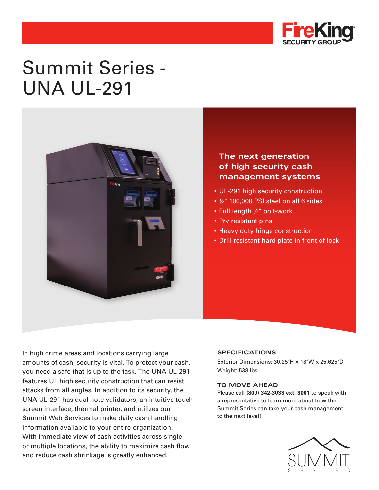

# Summit Series - UNA UL-291



### **The next generation of high security cash management systems**

- UL-291 high security construction
- ½" 100,000 PSI steel on all 6 sides
- Full length ½" bolt-work
- Pry resistant pins
- Heavy duty hinge construction
- Drill resistant hard plate in front of lock

In high crime areas and locations carrying large amounts of cash, security is vital. To protect your cash, you need a safe that is up to the task. The UNA UL-291 features UL high security construction that can resist attacks from all angles. In addition to its security, the UNA UL-291 has dual note validators, an intuitive touch screen interface, thermal printer, and utilizes our Summit Web Services to make daily cash handling information available to your entire organization. With immediate view of cash activities across single or multiple locations, the ability to maximize cash flow and reduce cash shrinkage is greatly enhanced.

#### **SPECIFICATIONS**

Exterior Dimensions: 30.25"H x 18"W x 25.625"D Weight: 538 lbs

#### **TO MOVE AHEAD**

Please call **(800) 342-3033 ext. 3001** to speak with a representative to learn more about how the Summit Series can take your cash management to the next level!